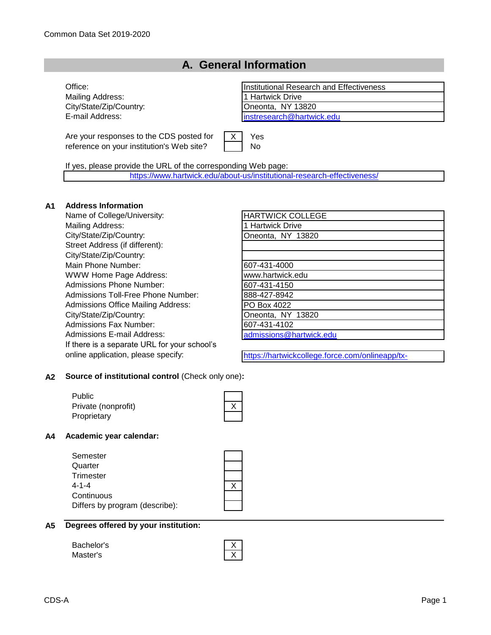#### **A. General Information**

Mailing Address: 1 Hartwick Drive City/State/Zip/Country: City/State/Zip/Country:

Are your responses to the CDS posted for reference on your institution's Web site?

Office: Institutional Research and Effectiveness E-mail Address: [instresearch@hartwick.edu](mailto:instresearch@hartwick.edu)

> X Yes No

If yes, please provide the URL of the corresponding Web page:

[https://www.hartwick.edu/ab](https://www.hartwick.edu/about-us/institutional-research-effectiveness/)out-us/institutional-research-effectiveness/

#### **A1 Address Information**

Name of College/University: Mailing Address: City/State/Zip/Country: Street Address (if different): City/State/Zip/Country: Main Phone Number: WWW Home Page Address: Admissions Phone Number: Admissions Toll-Free Phone Number: Admissions Office Mailing Address: City/State/Zip/Country: Admissions Fax Number: Admissions E-mail Address: If there is a separate URL for your school's online application, please specify:

| <b>HARTWICK COLLEGE</b> |  |
|-------------------------|--|
| 1 Hartwick Drive        |  |
| Oneonta, NY 13820       |  |
|                         |  |
|                         |  |
| 607-431-4000            |  |
| www.hartwick.edu        |  |
| 607-431-4150            |  |
| 888-427-8942            |  |
| PO Box 4022             |  |
| Oneonta, NY 13820       |  |
| 607-431-4102            |  |
| admissions@hartwick.edu |  |

https://hartwickcollege.force.com/onlineapp/tx-

#### **A2 Source of institutional control** (Check only one)**:**

Public Private (nonprofit) **Proprietary** 

communitieshome

#### **A4 Academic year calendar:**

| Semester                       |  |
|--------------------------------|--|
| Quarter                        |  |
| Trimester                      |  |
| 4-1-4                          |  |
| Continuous                     |  |
| Differs by program (describe): |  |
|                                |  |

|  |  |  |  | A5 Degrees offered by your institution: |
|--|--|--|--|-----------------------------------------|
|--|--|--|--|-----------------------------------------|

| Bachelor's |  |
|------------|--|
| Master's   |  |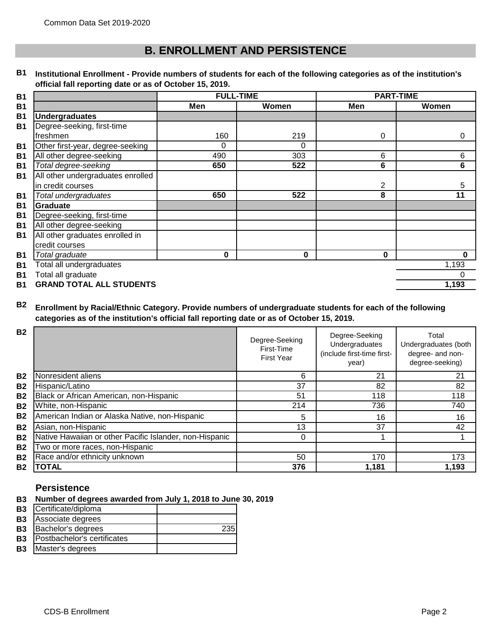### **B. ENROLLMENT AND PERSISTENCE**

#### **B1 Institutional Enrollment - Provide numbers of students for each of the following categories as of the institution's official fall reporting date or as of October 15, 2019.**

| <b>B1</b> | <b>FULL-TIME</b>                  |     | <b>PART-TIME</b> |          |       |
|-----------|-----------------------------------|-----|------------------|----------|-------|
| <b>B1</b> |                                   | Men | Women            | Men      | Women |
| <b>B1</b> | <b>Undergraduates</b>             |     |                  |          |       |
| <b>B1</b> | Degree-seeking, first-time        |     |                  |          |       |
|           | freshmen                          | 160 | 219              | $\Omega$ | 0     |
| <b>B1</b> | Other first-year, degree-seeking  | 0   | $\Omega$         |          |       |
| <b>B1</b> | All other degree-seeking          | 490 | 303              | 6        | 6     |
| <b>B1</b> | Total degree-seeking              | 650 | 522              | 6        | 6     |
| <b>B1</b> | All other undergraduates enrolled |     |                  |          |       |
|           | in credit courses                 |     |                  | 2        | 5     |
| <b>B1</b> | Total undergraduates              | 650 | 522              | 8        | 11    |
| <b>B1</b> | <b>Graduate</b>                   |     |                  |          |       |
| <b>B1</b> | Degree-seeking, first-time        |     |                  |          |       |
| <b>B1</b> | All other degree-seeking          |     |                  |          |       |
| <b>B1</b> | All other graduates enrolled in   |     |                  |          |       |
|           | credit courses                    |     |                  |          |       |
| <b>B1</b> | Total graduate                    | 0   | 0                | 0        | 0     |
| <b>B1</b> | Total all undergraduates          |     |                  |          | 1,193 |
| <b>B1</b> | Total all graduate                |     |                  |          | 0     |
| <b>B1</b> | <b>GRAND TOTAL ALL STUDENTS</b>   |     |                  |          | 1,193 |

#### **B2 Enrollment by Racial/Ethnic Category. Provide numbers of undergraduate students for each of the following categories as of the institution's official fall reporting date or as of October 15, 2019.**

| <b>B2</b> |                                                         | Degree-Seeking<br>First-Time<br><b>First Year</b> | Degree-Seeking<br>Undergraduates<br>(include first-time first-<br>year) | Total<br>Undergraduates (both<br>degree- and non-<br>degree-seeking) |
|-----------|---------------------------------------------------------|---------------------------------------------------|-------------------------------------------------------------------------|----------------------------------------------------------------------|
| <b>B2</b> | Nonresident aliens                                      | 6                                                 | 21                                                                      | 21                                                                   |
| <b>B2</b> | Hispanic/Latino                                         | 37                                                | 82                                                                      | 82                                                                   |
| <b>B2</b> | Black or African American, non-Hispanic                 | 51                                                | 118                                                                     | 118                                                                  |
| <b>B2</b> | White, non-Hispanic                                     | 214                                               | 736                                                                     | 740                                                                  |
| <b>B2</b> | American Indian or Alaska Native, non-Hispanic          | 5                                                 | 16                                                                      | 16                                                                   |
| <b>B2</b> | Asian, non-Hispanic                                     | 13                                                | 37                                                                      | 42                                                                   |
| <b>B2</b> | Native Hawaiian or other Pacific Islander, non-Hispanic | 0                                                 |                                                                         |                                                                      |
| <b>B2</b> | Two or more races, non-Hispanic                         |                                                   |                                                                         |                                                                      |
| <b>B2</b> | Race and/or ethnicity unknown                           | 50                                                | 170                                                                     | 173                                                                  |
| <b>B2</b> | TOTAL                                                   | 376                                               | 1,181                                                                   | 1,193                                                                |

#### **Persistence**

**B3 Number of degrees awarded from July 1, 2018 to June 30, 2019**

| Certificate/diploma         |     |
|-----------------------------|-----|
| Associate degrees           |     |
| Bachelor's degrees          | 235 |
| Postbachelor's certificates |     |
| Master's degrees            |     |
|                             |     |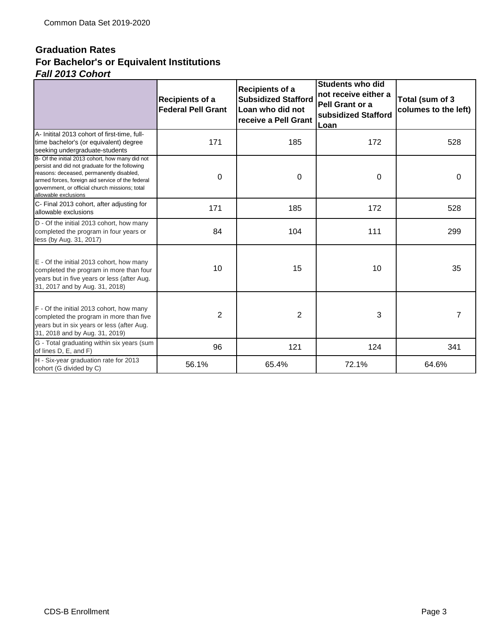#### **Graduation Rates** *Fall 2013 Cohort* **For Bachelor's or Equivalent Institutions**

|                                                                                                                                                                                                                                                                             | <b>Recipients of a</b><br><b>Federal Pell Grant</b> | Recipients of a<br><b>Subsidized Stafford</b><br>Loan who did not<br>receive a Pell Grant | <b>Students who did</b><br>not receive either a<br>Pell Grant or a<br>subsidized Stafford<br>Loan | Total (sum of 3<br>columes to the left) |
|-----------------------------------------------------------------------------------------------------------------------------------------------------------------------------------------------------------------------------------------------------------------------------|-----------------------------------------------------|-------------------------------------------------------------------------------------------|---------------------------------------------------------------------------------------------------|-----------------------------------------|
| A- Initital 2013 cohort of first-time, full-<br>time bachelor's (or equivalent) degree<br>seeking undergraduate-students                                                                                                                                                    | 171                                                 | 185                                                                                       | 172                                                                                               | 528                                     |
| B- Of the initial 2013 cohort, how many did not<br>persist and did not graduate for the following<br>reasons: deceased, permanently disabled,<br>armed forces, foreign aid service of the federal<br>government, or official church missions; total<br>allowable exclusions | 0                                                   | 0                                                                                         | $\mathbf 0$                                                                                       | $\Omega$                                |
| C- Final 2013 cohort, after adjusting for<br>allowable exclusions                                                                                                                                                                                                           | 171                                                 | 185                                                                                       | 172                                                                                               | 528                                     |
| D - Of the initial 2013 cohort, how many<br>completed the program in four years or<br>less (by Aug. 31, 2017)                                                                                                                                                               | 84                                                  | 104                                                                                       | 111                                                                                               | 299                                     |
| E - Of the initial 2013 cohort, how many<br>completed the program in more than four<br>years but in five years or less (after Aug.<br>31, 2017 and by Aug. 31, 2018)                                                                                                        | 10                                                  | 15                                                                                        | 10                                                                                                | 35                                      |
| F - Of the initial 2013 cohort, how many<br>completed the program in more than five<br>years but in six years or less (after Aug.<br>31, 2018 and by Aug. 31, 2019)                                                                                                         | $\overline{2}$                                      | $\overline{2}$                                                                            | 3                                                                                                 | 7                                       |
| G - Total graduating within six years (sum<br>of lines D, E, and F)                                                                                                                                                                                                         | 96                                                  | 121                                                                                       | 124                                                                                               | 341                                     |
| H - Six-year graduation rate for 2013<br>cohort (G divided by C)                                                                                                                                                                                                            | 56.1%                                               | 65.4%                                                                                     | 72.1%                                                                                             | 64.6%                                   |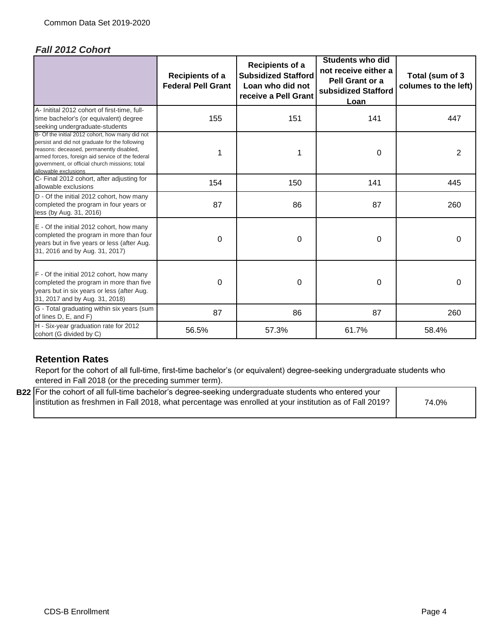#### *Fall 2012 Cohort*

|                                                                                                                                                                                                                                                                             | Recipients of a<br><b>Federal Pell Grant</b> | Recipients of a<br><b>Subsidized Stafford</b><br>Loan who did not<br>receive a Pell Grant | <b>Students who did</b><br>not receive either a<br>Pell Grant or a<br>subsidized Stafford<br>Loan | Total (sum of 3<br>columes to the left) |
|-----------------------------------------------------------------------------------------------------------------------------------------------------------------------------------------------------------------------------------------------------------------------------|----------------------------------------------|-------------------------------------------------------------------------------------------|---------------------------------------------------------------------------------------------------|-----------------------------------------|
| A- Initital 2012 cohort of first-time, full-<br>time bachelor's (or equivalent) degree<br>seeking undergraduate-students                                                                                                                                                    | 155                                          | 151                                                                                       | 141                                                                                               | 447                                     |
| B- Of the initial 2012 cohort, how many did not<br>persist and did not graduate for the following<br>reasons: deceased, permanently disabled,<br>armed forces, foreign aid service of the federal<br>government, or official church missions; total<br>allowable exclusions | 1                                            | 1                                                                                         | 0                                                                                                 | 2                                       |
| C- Final 2012 cohort, after adjusting for<br>allowable exclusions                                                                                                                                                                                                           | 154                                          | 150                                                                                       | 141                                                                                               | 445                                     |
| D - Of the initial 2012 cohort, how many<br>completed the program in four years or<br>less (by Aug. 31, 2016)                                                                                                                                                               | 87                                           | 86                                                                                        | 87                                                                                                | 260                                     |
| E - Of the initial 2012 cohort, how many<br>completed the program in more than four<br>years but in five years or less (after Aug.<br>31, 2016 and by Aug. 31, 2017)                                                                                                        | 0                                            | 0                                                                                         | 0                                                                                                 | 0                                       |
| F - Of the initial 2012 cohort, how many<br>completed the program in more than five<br>years but in six years or less (after Aug.<br>31, 2017 and by Aug. 31, 2018)                                                                                                         | 0                                            | 0                                                                                         | 0                                                                                                 | 0                                       |
| G - Total graduating within six years (sum<br>of lines D, E, and F)                                                                                                                                                                                                         | 87                                           | 86                                                                                        | 87                                                                                                | 260                                     |
| H - Six-year graduation rate for 2012<br>cohort (G divided by C)                                                                                                                                                                                                            | 56.5%                                        | 57.3%                                                                                     | 61.7%                                                                                             | 58.4%                                   |

#### **Retention Rates**

Report for the cohort of all full-time, first-time bachelor's (or equivalent) degree-seeking undergraduate students who entered in Fall 2018 (or the preceding summer term).

**B22** For the cohort of all full-time bachelor's degree-seeking undergraduate students who entered your 74.0% institution as freshmen in Fall 2018, what percentage was enrolled at your institution as of Fall 2019?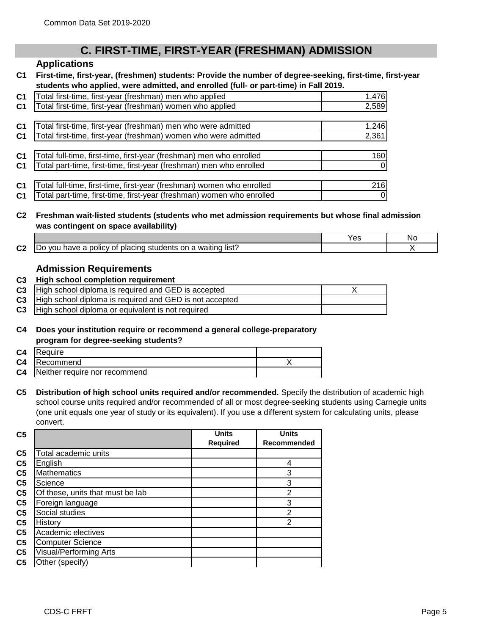#### **C. FIRST-TIME, FIRST-YEAR (FRESHMAN) ADMISSION**

#### **Applications**

**C1 First-time, first-year, (freshmen) students: Provide the number of degree-seeking, first-time, first-year students who applied, were admitted, and enrolled (full- or part-time) in Fall 2019.** 

| C <sub>1</sub> | Total first-time, first-year (freshman) men who applied               | 1,476    |
|----------------|-----------------------------------------------------------------------|----------|
| C <sub>1</sub> | Total first-time, first-year (freshman) women who applied             | 2,589    |
|                |                                                                       |          |
| C <sub>1</sub> | Total first-time, first-year (freshman) men who were admitted         | 1,246    |
| C <sub>1</sub> | Total first-time, first-year (freshman) women who were admitted       | 2,361    |
|                |                                                                       |          |
| C <sub>1</sub> | Total full-time, first-time, first-year (freshman) men who enrolled   | 160      |
| C <sub>1</sub> | Total part-time, first-time, first-year (freshman) men who enrolled   | $\Omega$ |
|                |                                                                       |          |
| C <sub>1</sub> | Total full-time, first-time, first-year (freshman) women who enrolled | 216      |
| C <sub>1</sub> | Total part-time, first-time, first-year (freshman) women who enrolled | $\Omega$ |

#### **C2 Freshman wait-listed students (students who met admission requirements but whose final admission was contingent on space availability)**

|                 |                                                                                                                        | es | Nc. |
|-----------------|------------------------------------------------------------------------------------------------------------------------|----|-----|
| <b>CO</b><br>ധ∠ | $\cdots$<br>--<br>∴list'<br>waiting<br>on.<br>· polic∨ י<br>placing<br>students<br>VOL.<br>have<br>∵01<br>DΟ<br>a<br>a |    |     |

#### **Admission Requirements**

#### **C3 High school completion requirement**

| C3   High school diploma is required and GED is accepted     |  |
|--------------------------------------------------------------|--|
| C3   High school diploma is required and GED is not accepted |  |
| C3   High school diploma or equivalent is not required       |  |

#### **C4 Does your institution require or recommend a general college-preparatory program for degree-seeking students?**

| C <sub>4</sub> | <b>Require</b>                |  |
|----------------|-------------------------------|--|
| C <sub>4</sub> | Recommend                     |  |
| C <sub>4</sub> | Neither require nor recommend |  |

**C5 Distribution of high school units required and/or recommended.** Specify the distribution of academic high school course units required and/or recommended of all or most degree-seeking students using Carnegie units (one unit equals one year of study or its equivalent). If you use a different system for calculating units, please convert.

| C <sub>5</sub> |                                  | <b>Units</b>    | <b>Units</b>   |
|----------------|----------------------------------|-----------------|----------------|
|                |                                  | <b>Required</b> | Recommended    |
| C <sub>5</sub> | Total academic units             |                 |                |
| C <sub>5</sub> | English                          |                 | 4              |
| C <sub>5</sub> | <b>Mathematics</b>               |                 | 3              |
| C <sub>5</sub> | Science                          |                 | 3              |
| C <sub>5</sub> | Of these, units that must be lab |                 | $\overline{2}$ |
| C <sub>5</sub> | Foreign language                 |                 | 3              |
| C <sub>5</sub> | Social studies                   |                 | $\overline{2}$ |
| C <sub>5</sub> | History                          |                 | $\overline{2}$ |
| C <sub>5</sub> | Academic electives               |                 |                |
| C <sub>5</sub> | <b>Computer Science</b>          |                 |                |
| C <sub>5</sub> | <b>Visual/Performing Arts</b>    |                 |                |
| C5             | Other (specify)                  |                 |                |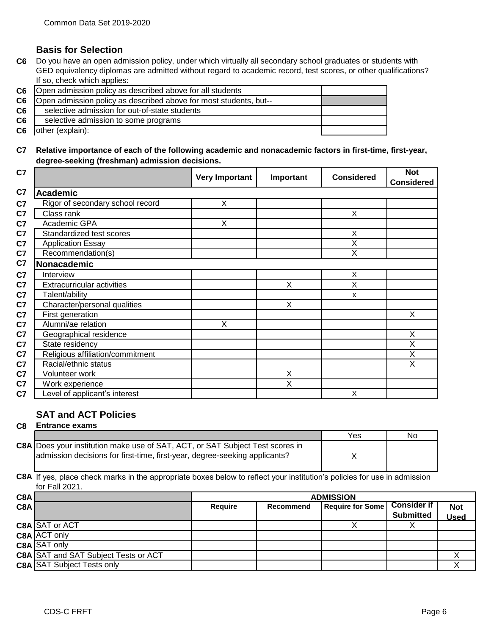#### **Basis for Selection**

**C6** Do you have an open admission policy, under which virtually all secondary school graduates or students with GED equivalency diplomas are admitted without regard to academic record, test scores, or other qualifications? If so, check which applies:

|                | C6   Open admission policy as described above for all students    |  |
|----------------|-------------------------------------------------------------------|--|
| C6             | Open admission policy as described above for most students, but-- |  |
| C <sub>6</sub> | selective admission for out-of-state students                     |  |
| C <sub>6</sub> | selective admission to some programs                              |  |
| C <sub>6</sub> | other (explain):                                                  |  |

**C7 Relative importance of each of the following academic and nonacademic factors in first-time, first-year, degree-seeking (freshman) admission decisions.**

| C7             |                                   | <b>Very Important</b> | Important | <b>Considered</b> | <b>Not</b><br><b>Considered</b> |
|----------------|-----------------------------------|-----------------------|-----------|-------------------|---------------------------------|
| C <sub>7</sub> | <b>Academic</b>                   |                       |           |                   |                                 |
| C7             | Rigor of secondary school record  | X                     |           |                   |                                 |
| C <sub>7</sub> | Class rank                        |                       |           | X                 |                                 |
| C7             | Academic GPA                      | Χ                     |           |                   |                                 |
| C <sub>7</sub> | Standardized test scores          |                       |           | X                 |                                 |
| C <sub>7</sub> | <b>Application Essay</b>          |                       |           | X                 |                                 |
| C7             | Recommendation(s)                 |                       |           | X                 |                                 |
| C <sub>7</sub> | Nonacademic                       |                       |           |                   |                                 |
| C <sub>7</sub> | Interview                         |                       |           | X                 |                                 |
| C <sub>7</sub> | <b>Extracurricular activities</b> |                       | Χ         | X                 |                                 |
| C <sub>7</sub> | Talent/ability                    |                       |           | X                 |                                 |
| C7             | Character/personal qualities      |                       | X         |                   |                                 |
| C7             | First generation                  |                       |           |                   | X                               |
| C <sub>7</sub> | Alumni/ae relation                | $\overline{X}$        |           |                   |                                 |
| C <sub>7</sub> | Geographical residence            |                       |           |                   | X                               |
| C7             | State residency                   |                       |           |                   | X                               |
| C <sub>7</sub> | Religious affiliation/commitment  |                       |           |                   | Χ                               |
| C7             | Racial/ethnic status              |                       |           |                   | Χ                               |
| C <sub>7</sub> | Volunteer work                    |                       | Χ         |                   |                                 |
| C <sub>7</sub> | Work experience                   |                       | X         |                   |                                 |
| C <sub>7</sub> | Level of applicant's interest     |                       |           | X                 |                                 |

#### **SAT and ACT Policies**

#### **C8 Entrance exams**

|                  |                                                                                                                                                                    |         |           | Yes                                 | No |
|------------------|--------------------------------------------------------------------------------------------------------------------------------------------------------------------|---------|-----------|-------------------------------------|----|
|                  | <b>C8A Does your institution make use of SAT, ACT, or SAT Subject Test scores in</b><br>admission decisions for first-time, first-year, degree-seeking applicants? |         |           |                                     |    |
|                  | C8A If yes, place check marks in the appropriate boxes below to reflect your institution's policies for use in admission<br>for Fall 2021.                         |         |           |                                     |    |
| C <sub>8</sub> A |                                                                                                                                                                    |         |           | <b>ADMISSION</b>                    |    |
| <b>CRA</b>       |                                                                                                                                                                    | Require | Recommend | <b>Require for Some CONSider if</b> |    |

|                                             | ADMISSION |           |  |                  |                                       |
|---------------------------------------------|-----------|-----------|--|------------------|---------------------------------------|
|                                             | Require   | Recommend |  |                  | <b>Not</b>                            |
|                                             |           |           |  | <b>Submitted</b> | <b>Used</b>                           |
| <b>C8A SAT or ACT</b>                       |           |           |  |                  |                                       |
| C8A ACT only                                |           |           |  |                  |                                       |
| C8A SAT only                                |           |           |  |                  |                                       |
| <b>C8A SAT and SAT Subject Tests or ACT</b> |           |           |  |                  |                                       |
| <b>C8A SAT Subject Tests only</b>           |           |           |  |                  |                                       |
|                                             |           |           |  |                  | <b>Require for Some   Consider if</b> |

٦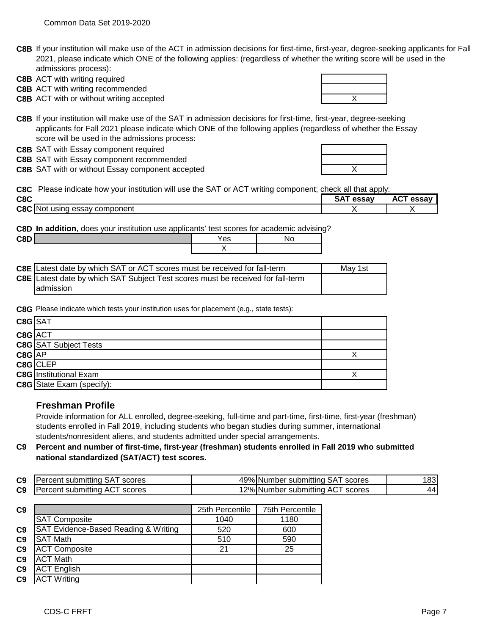**C8B** If your institution will make use of the ACT in admission decisions for first-time, first-year, degree-seeking applicants for Fall 2021, please indicate which ONE of the following applies: (regardless of whether the writing score will be used in the admissions process):

**C8B** ACT with writing required

**C8B** ACT with writing recommended

**C8B** ACT with or without writing accepted **ACT ACT X** ACT **Without writing accepted ACT X** ACT



**C8B** If your institution will make use of the SAT in admission decisions for first-time, first-year, degree-seeking applicants for Fall 2021 please indicate which ONE of the following applies (regardless of whether the Essay score will be used in the admissions process:

**C8B** SAT with Essay component required

**C8B** SAT with Essay component recommended

**C8B** SAT with or without Essay component accepted **C8B** SAT with or without Essay component accepted

**C8C** Please indicate how your institution will use the SAT or ACT writing component; check all that apply:

| C <sub>8</sub> C |                                       | --<br>essay | $\sim$<br>AG.<br>essa |
|------------------|---------------------------------------|-------------|-----------------------|
| C8C              | component<br>essav<br>usina<br>; INot |             |                       |

**C8D In addition**, does your institution use applicants' test scores for academic advising?

| con | n c<br>ဗေ |  |
|-----|-----------|--|
|     |           |  |

| C8E Latest date by which SAT or ACT scores must be received for fall-term              | Mav 1st |
|----------------------------------------------------------------------------------------|---------|
| <b>C8E</b> Latest date by which SAT Subject Test scores must be received for fall-term |         |
| Iadmission                                                                             |         |

**C8G** Please indicate which tests your institution uses for placement (e.g., state tests):

| C8G SAT |                                  |  |
|---------|----------------------------------|--|
| C8G ACT |                                  |  |
|         | <b>C8G</b> SAT Subject Tests     |  |
| C8G AP  |                                  |  |
|         | C8G CLEP                         |  |
|         | <b>C8G</b> Institutional Exam    |  |
|         | <b>C8G</b> State Exam (specify): |  |

#### **Freshman Profile**

Provide information for ALL enrolled, degree-seeking, full-time and part-time, first-time, first-year (freshman) students enrolled in Fall 2019, including students who began studies during summer, international students/nonresident aliens, and students admitted under special arrangements.

**C9 Percent and number of first-time, first-year (freshman) students enrolled in Fall 2019 who submitted national standardized (SAT/ACT) test scores.**

| C <sub>9</sub> | Percent submitting SAT scores    | 49% Number submitting SAT<br>scores | 183 |
|----------------|----------------------------------|-------------------------------------|-----|
| C <sub>9</sub> | Percent submitting ACT<br>scores | 12% Number submitting ACT<br>scores | 441 |

| C <sub>9</sub> |                                      | 25th Percentile | 75th Percentile |
|----------------|--------------------------------------|-----------------|-----------------|
|                | <b>SAT Composite</b>                 | 1040            | 1180            |
| C <sub>9</sub> | SAT Evidence-Based Reading & Writing | 520             | 600             |
| C <sub>9</sub> | <b>SAT Math</b>                      | 510             | 590             |
| C <sub>9</sub> | <b>ACT Composite</b>                 | 21              | 25              |
| C <sub>9</sub> | <b>ACT Math</b>                      |                 |                 |
| C <sub>9</sub> | <b>ACT English</b>                   |                 |                 |
| C <sub>9</sub> | <b>ACT Writing</b>                   |                 |                 |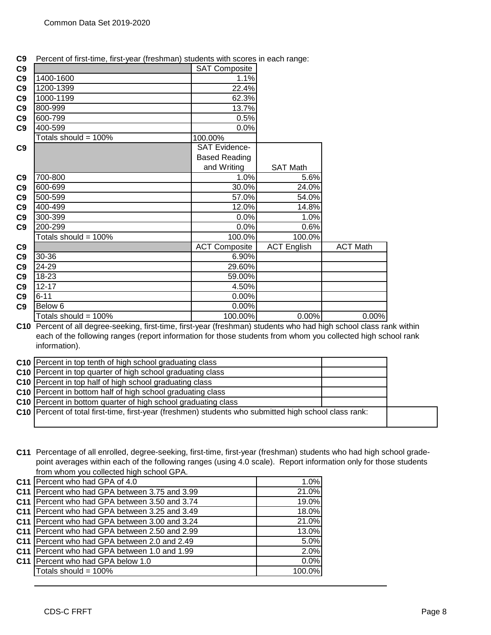| C9 |                      | <b>SAT Composite</b> |                    |                 |
|----|----------------------|----------------------|--------------------|-----------------|
| C9 | 1400-1600            | 1.1%                 |                    |                 |
| C9 | 1200-1399            | 22.4%                |                    |                 |
| C9 | 1000-1199            | 62.3%                |                    |                 |
| C9 | 800-999              | 13.7%                |                    |                 |
| C9 | 600-799              | 0.5%                 |                    |                 |
| C9 | 400-599              | 0.0%                 |                    |                 |
|    | Totals should = 100% | 100.00%              |                    |                 |
| C9 |                      | <b>SAT Evidence-</b> |                    |                 |
|    |                      | <b>Based Reading</b> |                    |                 |
|    |                      | and Writing          | <b>SAT Math</b>    |                 |
| C9 | 700-800              | 1.0%                 | 5.6%               |                 |
| C9 | 600-699              | 30.0%                | 24.0%              |                 |
| C9 | 500-599              | 57.0%                | 54.0%              |                 |
| C9 | 400-499              | 12.0%                | 14.8%              |                 |
| C9 | 300-399              | 0.0%                 | 1.0%               |                 |
| C9 | 200-299              | 0.0%                 | 0.6%               |                 |
|    | Totals should = 100% | 100.0%               | 100.0%             |                 |
| C9 |                      | <b>ACT Composite</b> | <b>ACT English</b> | <b>ACT Math</b> |
| C9 | 30-36                | 6.90%                |                    |                 |
| C9 | 24-29                | 29.60%               |                    |                 |
| C9 | 18-23                | 59.00%               |                    |                 |
| C9 | $12 - 17$            | 4.50%                |                    |                 |
| C9 | $6 - 11$             | 0.00%                |                    |                 |
| C9 | Below 6              | 0.00%                |                    |                 |
|    | Totals should = 100% | 100.00%              | 0.00%              | 0.00%           |

**C9** Percent of first-time, first-year (freshman) students with scores in each range:

**C10** Percent of all degree-seeking, first-time, first-year (freshman) students who had high school class rank within each of the following ranges (report information for those students from whom you collected high school rank information).

| C10 Percent in top tenth of high school graduating class                                                |  |
|---------------------------------------------------------------------------------------------------------|--|
| C10 Percent in top quarter of high school graduating class                                              |  |
| C10 Percent in top half of high school graduating class                                                 |  |
| C10 Percent in bottom half of high school graduating class                                              |  |
| C10 Percent in bottom quarter of high school graduating class                                           |  |
| C10   Percent of total first-time, first-year (freshmen) students who submitted high school class rank: |  |
|                                                                                                         |  |

**C11** Percentage of all enrolled, degree-seeking, first-time, first-year (freshman) students who had high school gradepoint averages within each of the following ranges (using 4.0 scale). Report information only for those students from whom you collected high school GPA.

| C11 Percent who had GPA of 4.0                  | 1.0%    |
|-------------------------------------------------|---------|
| C11   Percent who had GPA between 3.75 and 3.99 | 21.0%   |
| C11   Percent who had GPA between 3.50 and 3.74 | 19.0%   |
| C11   Percent who had GPA between 3.25 and 3.49 | 18.0%   |
| C11   Percent who had GPA between 3.00 and 3.24 | 21.0%   |
| C11   Percent who had GPA between 2.50 and 2.99 | 13.0%   |
| C11 Percent who had GPA between 2.0 and 2.49    | 5.0%    |
| C11   Percent who had GPA between 1.0 and 1.99  | 2.0%    |
| C11 Percent who had GPA below 1.0               | $0.0\%$ |
| Totals should = 100%                            | 100.0%  |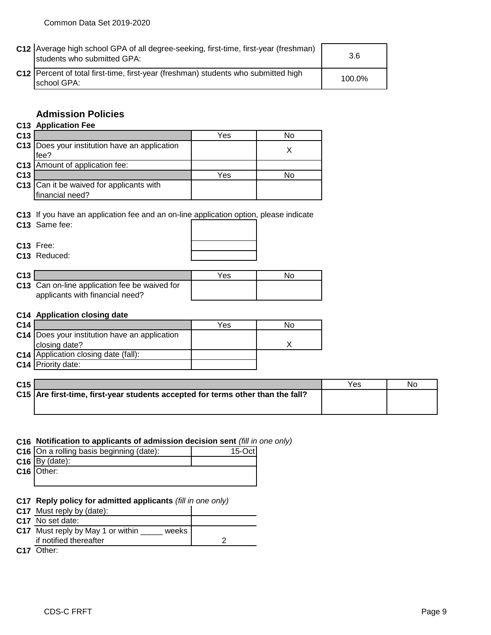| C12 Average high school GPA of all degree-seeking, first-time, first-year (freshman)<br>Istudents who submitted GPA: | 3.6    |
|----------------------------------------------------------------------------------------------------------------------|--------|
| C12   Percent of total first-time, first-year (freshman) students who submitted high<br>school GPA:                  | 100.0% |

#### **Admission Policies**

#### **C13 Application Fee**

| C <sub>13</sub> |                                                         | Yes | No |
|-----------------|---------------------------------------------------------|-----|----|
|                 | C13   Does your institution have an application<br>fee? |     |    |
|                 | <b>C13</b> Amount of application fee:                   |     |    |
| C <sub>13</sub> |                                                         | Yes | No |
|                 | C13 Can it be waived for applicants with                |     |    |
|                 | financial need?                                         |     |    |

**C13** If you have an application fee and an on-line application option, please indicate

**C13** Same fee:

|  | . |  |  |
|--|---|--|--|
|  |   |  |  |
|  |   |  |  |
|  |   |  |  |
|  |   |  |  |
|  |   |  |  |
|  |   |  |  |
|  |   |  |  |

#### **C13** Free:

| C13 Reduced: |
|--------------|
|--------------|

| C13 |                                               | Yes | N٥ |
|-----|-----------------------------------------------|-----|----|
|     | C13 Can on-line application fee be waived for |     |    |
|     | applicants with financial need?               |     |    |

#### **C14 Application closing date**

| C <sub>14</sub> |                                                 | Yes | N٥ |
|-----------------|-------------------------------------------------|-----|----|
|                 | C14   Does your institution have an application |     |    |
|                 | closing date?                                   |     |    |
|                 | <b>C14</b> Application closing date (fall):     |     |    |
|                 | <b>C14</b> Priority date:                       |     |    |

| C <sub>15</sub> |                                                                                 | Yes | Nc |
|-----------------|---------------------------------------------------------------------------------|-----|----|
|                 | C15 Are first-time, first-year students accepted for terms other than the fall? |     |    |
|                 |                                                                                 |     |    |

#### **C16 Notification to applicants of admission decision sent** *(fill in one only)*

| C16 On a rolling basis beginning (date): | $15$ -Oct |
|------------------------------------------|-----------|
| $C16$ By (date):                         |           |
| $C16$ Other:                             |           |
|                                          |           |

# **C17 Reply policy for admitted applicants** *(fill in one only)*<br>**C17** Must reply by (date):  $\begin{bmatrix} \end{bmatrix}$

|  |  | C17 Must reply by (date): |  |
|--|--|---------------------------|--|
|  |  |                           |  |

| C17 No set date:                           |  |
|--------------------------------------------|--|
| C17 Must reply by May 1 or within<br>weeks |  |
| if notified thereafter                     |  |
|                                            |  |

**C17** Other: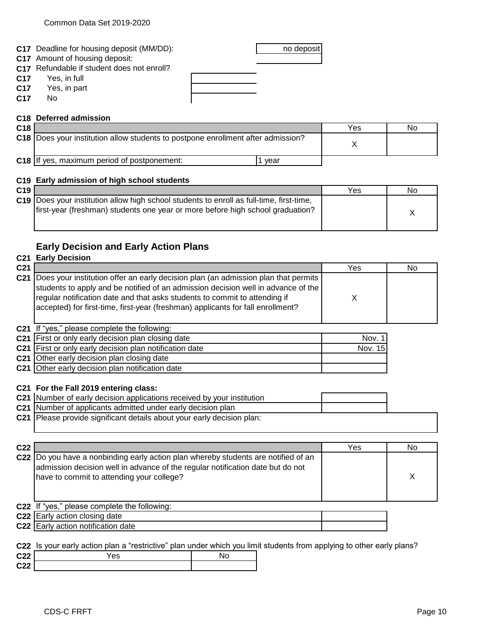|                 | <b>C17</b> Deadline for housing deposit (MM/DD): | no deposit |
|-----------------|--------------------------------------------------|------------|
|                 | <b>C17</b> Amount of housing deposit:            |            |
|                 | C17 Refundable if student does not enroll?       |            |
|                 | <b>C17</b> Yes, in full                          |            |
|                 | C17 Yes, in part                                 |            |
| C <sub>17</sub> | No                                               |            |
|                 |                                                  |            |

#### **C18 Deferred admission**

| C <sub>18</sub> |                                                                                   |      | Yes | No |
|-----------------|-----------------------------------------------------------------------------------|------|-----|----|
|                 | C18  Does your institution allow students to postpone enrollment after admission? |      |     |    |
|                 | C18 If yes, maximum period of postponement:                                       | vear |     |    |

#### **C19 Early admission of high school students**

| C <sub>19</sub> |                                                                                                 | Yes | No |
|-----------------|-------------------------------------------------------------------------------------------------|-----|----|
|                 | <b>C19</b> Does your institution allow high school students to enroll as full-time, first-time, |     |    |
|                 | first-year (freshman) students one year or more before high school graduation?                  |     |    |
|                 |                                                                                                 |     |    |

#### **Early Decision and Early Action Plans**

|                 | <b>C21 Early Decision</b>                                                                                                                                                                                                                                                                                                                    |         |    |
|-----------------|----------------------------------------------------------------------------------------------------------------------------------------------------------------------------------------------------------------------------------------------------------------------------------------------------------------------------------------------|---------|----|
| C <sub>21</sub> |                                                                                                                                                                                                                                                                                                                                              | Yes     | No |
|                 | C21 Does your institution offer an early decision plan (an admission plan that permits<br>students to apply and be notified of an admission decision well in advance of the<br>regular notification date and that asks students to commit to attending if<br>accepted) for first-time, first-year (freshman) applicants for fall enrollment? | X       |    |
|                 | C21 If "yes," please complete the following:                                                                                                                                                                                                                                                                                                 |         |    |
| C <sub>21</sub> | First or only early decision plan closing date                                                                                                                                                                                                                                                                                               | Nov. 1  |    |
|                 | C21 First or only early decision plan notification date                                                                                                                                                                                                                                                                                      | Nov. 15 |    |
|                 | C21 Other early decision plan closing date                                                                                                                                                                                                                                                                                                   |         |    |
|                 | C21 Other early decision plan notification date                                                                                                                                                                                                                                                                                              |         |    |
| C <sub>21</sub> | C21 For the Fall 2019 entering class:<br>C21 Number of early decision applications received by your institution<br>C21 Number of applicants admitted under early decision plan<br>Please provide significant details about your early decision plan:                                                                                         |         |    |
| C22             |                                                                                                                                                                                                                                                                                                                                              | Yes     | No |
|                 | C22 Do you have a nonbinding early action plan whereby students are notified of an                                                                                                                                                                                                                                                           |         |    |
|                 | admission decision well in advance of the regular notification date but do not<br>have to commit to attending your college?                                                                                                                                                                                                                  |         | X  |
|                 | C22 If "yes," please complete the following:                                                                                                                                                                                                                                                                                                 |         |    |
|                 | C22 Early action closing date                                                                                                                                                                                                                                                                                                                |         |    |
|                 | C22 Early action notification date                                                                                                                                                                                                                                                                                                           |         |    |
|                 |                                                                                                                                                                                                                                                                                                                                              |         |    |
|                 | C22 Is your early action plan a "restrictive" plan under which you limit students from applying to other early plans?                                                                                                                                                                                                                        |         |    |
| C <sub>22</sub> | Yes<br>No                                                                                                                                                                                                                                                                                                                                    |         |    |
| C <sub>22</sub> |                                                                                                                                                                                                                                                                                                                                              |         |    |
|                 |                                                                                                                                                                                                                                                                                                                                              |         |    |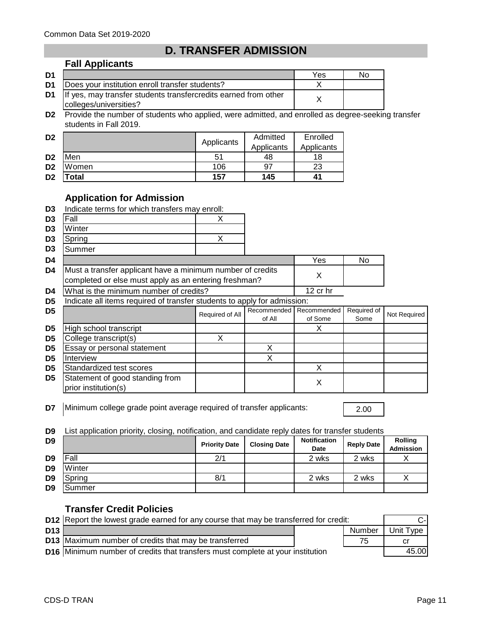**Fall Applicants**

### **D. TRANSFER ADMISSION**

| D <sub>1</sub> |                                                                                                | Yes | Nο |
|----------------|------------------------------------------------------------------------------------------------|-----|----|
| D1             | Does your institution enroll transfer students?                                                |     |    |
|                | D1   If yes, may transfer students transfercredits earned from other<br>colleges/universities? |     |    |

**D2** Provide the number of students who applied, were admitted, and enrolled as degree-seeking transfer students in Fall 2019.

| D <sub>2</sub> |       | Applicants | Admitted   | Enrolled   |
|----------------|-------|------------|------------|------------|
|                |       |            | Applicants | Applicants |
| D <sub>2</sub> | Men   | 51         | 48         | 18         |
| D <sub>2</sub> | Women | 106        | 97         | 23         |
| D <sub>2</sub> | 'otal | 157        | 145        | 41         |

#### **Application for Admission**

|                | <b>Application Tol Admission</b>                                                                                    |                 |                       |                        |                     |              |
|----------------|---------------------------------------------------------------------------------------------------------------------|-----------------|-----------------------|------------------------|---------------------|--------------|
| D <sub>3</sub> | Indicate terms for which transfers may enroll:                                                                      |                 |                       |                        |                     |              |
| D <sub>3</sub> | Fall                                                                                                                | X               |                       |                        |                     |              |
| D3             | Winter                                                                                                              |                 |                       |                        |                     |              |
| D3             | Spring                                                                                                              | X               |                       |                        |                     |              |
| D3             | Summer                                                                                                              |                 |                       |                        |                     |              |
| D4             |                                                                                                                     |                 |                       | Yes                    | No.                 |              |
| D4             | Must a transfer applicant have a minimum number of credits<br>completed or else must apply as an entering freshman? |                 |                       | X                      |                     |              |
| D4             | What is the minimum number of credits?                                                                              |                 |                       | 12 cr hr               |                     |              |
| D5             | Indicate all items required of transfer students to apply for admission:                                            |                 |                       |                        |                     |              |
| D5             |                                                                                                                     | Required of All | Recommended<br>of All | Recommended<br>of Some | Required of<br>Some | Not Required |
| D <sub>5</sub> | High school transcript                                                                                              |                 |                       | X                      |                     |              |
| D <sub>5</sub> | College transcript(s)                                                                                               | X               |                       |                        |                     |              |
| D5             | Essay or personal statement                                                                                         |                 | X                     |                        |                     |              |
| D <sub>5</sub> | Interview                                                                                                           |                 | X                     |                        |                     |              |
| D5             | Standardized test scores                                                                                            |                 |                       | X                      |                     |              |
| D5             | Statement of good standing from<br>prior institution(s)                                                             |                 |                       | X                      |                     |              |

**D7** Minimum college grade point average required of transfer applicants: 2.00

**D9** List application priority, closing, notification, and candidate reply dates for transfer students

| D <sub>9</sub> |               | <b>Priority Date</b> | <b>Closing Date</b> | <b>Notification</b><br><b>Date</b> | <b>Reply Date</b> | <b>Rolling</b><br><b>Admission</b> |
|----------------|---------------|----------------------|---------------------|------------------------------------|-------------------|------------------------------------|
| D <sub>9</sub> | Fall          | 2/1                  |                     | 2 wks                              | 2 wks             |                                    |
| D <sub>9</sub> | Winter        |                      |                     |                                    |                   |                                    |
| D <sub>9</sub> | Spring        | 8/1                  |                     | 2 wks                              | 2 wks             |                                    |
| D <sub>9</sub> | <b>Summer</b> |                      |                     |                                    |                   |                                    |

#### **Transfer Credit Policies**

|                 | D12 Report the lowest grade earned for any course that may be transferred for credit: |  |        |           |
|-----------------|---------------------------------------------------------------------------------------|--|--------|-----------|
| D <sub>13</sub> |                                                                                       |  | Number | Unit Type |
|                 | D13 Maximum number of credits that may be transferred                                 |  | 75     | Сľ        |
|                 | <b>D16</b> Minimum number of credits that transfers must complete at your institution |  |        | 45.00     |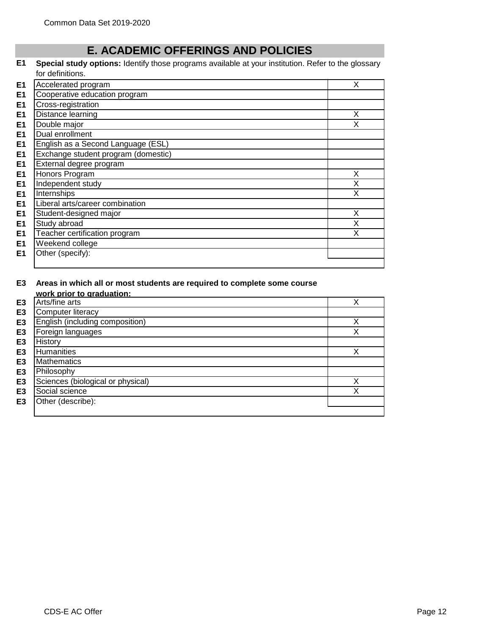#### **E. ACADEMIC OFFERINGS AND POLICIES**

#### **E1 Special study options:** Identify those programs available at your institution. Refer to the glossary for definitions.

| E <sub>1</sub> | Accelerated program                 | X |
|----------------|-------------------------------------|---|
| E <sub>1</sub> | Cooperative education program       |   |
| E <sub>1</sub> | Cross-registration                  |   |
| E <sub>1</sub> | Distance learning                   | X |
| E <sub>1</sub> | Double major                        | x |
| E <sub>1</sub> | Dual enrollment                     |   |
| E <sub>1</sub> | English as a Second Language (ESL)  |   |
| E <sub>1</sub> | Exchange student program (domestic) |   |
| E <sub>1</sub> | External degree program             |   |
| E <sub>1</sub> | Honors Program                      | X |
| E <sub>1</sub> | Independent study                   | X |
| E <sub>1</sub> | Internships                         | X |
| E <sub>1</sub> | Liberal arts/career combination     |   |
| E <sub>1</sub> | Student-designed major              | X |
| E <sub>1</sub> | Study abroad                        | X |
| E <sub>1</sub> | Teacher certification program       | X |
| E <sub>1</sub> | Weekend college                     |   |
| E <sub>1</sub> | Other (specify):                    |   |
|                |                                     |   |

## **E3 Areas in which all or most students are required to complete some course**

|                | work prior to graduation:         |   |
|----------------|-----------------------------------|---|
| E <sub>3</sub> | Arts/fine arts                    |   |
| E <sub>3</sub> | Computer literacy                 |   |
| E <sub>3</sub> | English (including composition)   | Х |
| E <sub>3</sub> | Foreign languages                 | Χ |
| E <sub>3</sub> | History                           |   |
| E <sub>3</sub> | <b>Humanities</b>                 | Χ |
| E <sub>3</sub> | <b>Mathematics</b>                |   |
| E <sub>3</sub> | Philosophy                        |   |
| E <sub>3</sub> | Sciences (biological or physical) | ν |
| E <sub>3</sub> | Social science                    | Χ |
| E <sub>3</sub> | Other (describe):                 |   |
|                |                                   |   |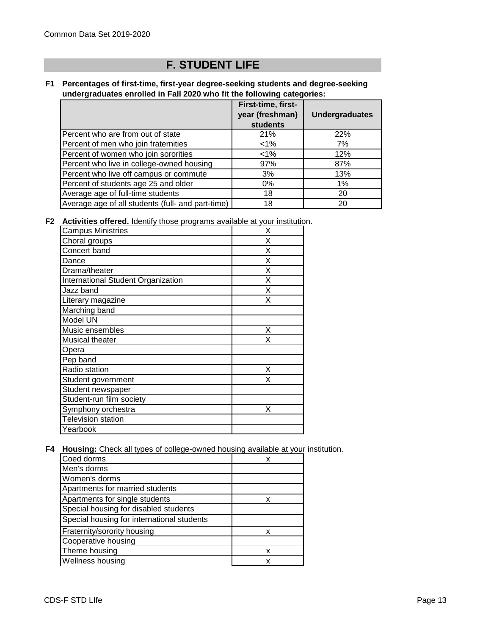## **F. STUDENT LIFE**

#### **F1 Percentages of first-time, first-year degree-seeking students and degree-seeking undergraduates enrolled in Fall 2020 who fit the following categories:**

|                                                   | First-time, first- |                       |
|---------------------------------------------------|--------------------|-----------------------|
|                                                   | year (freshman)    | <b>Undergraduates</b> |
|                                                   | students           |                       |
| Percent who are from out of state                 | 21%                | 22%                   |
| Percent of men who join fraternities              | $<$ 1%             | 7%                    |
| Percent of women who join sororities              | $<1\%$             | 12%                   |
| Percent who live in college-owned housing         | 97%                | 87%                   |
| Percent who live off campus or commute            | 3%                 | 13%                   |
| Percent of students age 25 and older              | $0\%$              | 1%                    |
| Average age of full-time students                 | 18                 | 20                    |
| Average age of all students (full- and part-time) | 18                 | 20                    |

**F2 Activities offered.** Identify those programs available at your institution.

| <b>Campus Ministries</b>           | X |
|------------------------------------|---|
| Choral groups                      | X |
| Concert band                       | X |
| Dance                              | X |
| Drama/theater                      | X |
| International Student Organization | X |
| Jazz band                          | X |
| Literary magazine                  | X |
| Marching band                      |   |
| Model UN                           |   |
| Music ensembles                    | X |
| Musical theater                    | X |
| Opera                              |   |
| Pep band                           |   |
| Radio station                      | X |
| Student government                 | x |
| Student newspaper                  |   |
| Student-run film society           |   |
| Symphony orchestra                 | X |
| <b>Television station</b>          |   |
| Yearbook                           |   |

**F4 Housing:** Check all types of college-owned housing available at your institution.

| Coed dorms                                 | x |
|--------------------------------------------|---|
| Men's dorms                                |   |
| Women's dorms                              |   |
| Apartments for married students            |   |
| Apartments for single students             | x |
| Special housing for disabled students      |   |
| Special housing for international students |   |
| Fraternity/sorority housing                | x |
| Cooperative housing                        |   |
| Theme housing                              | x |
| <b>Wellness housing</b>                    | x |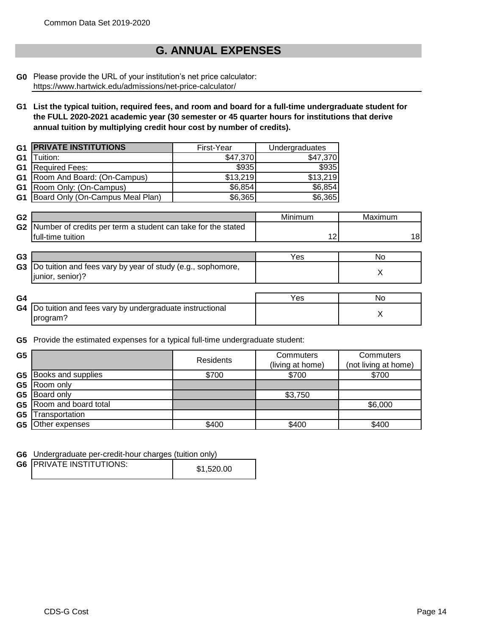### **G. ANNUAL EXPENSES**

#### **G0** Please provide the URL of your institution's net price calculator: https://www.hartwick.edu/admissions/net-price-calculator/

**G1 List the typical tuition, required fees, and room and board for a full-time undergraduate student for the FULL 2020-2021 academic year (30 semester or 45 quarter hours for institutions that derive annual tuition by multiplying credit hour cost by number of credits).**

| G1             | <b>PRIVATE INSTITUTIONS</b>           | First-Year | Undergraduates |
|----------------|---------------------------------------|------------|----------------|
| G <sub>1</sub> | Tuition:                              | \$47,370   | \$47,370       |
| G <sub>1</sub> | <b>Required Fees:</b>                 | \$935      | \$935          |
|                | <b>G1</b> Room And Board: (On-Campus) | \$13,219   | \$13,219       |
|                | <b>G1</b> Room Only: (On-Campus)      | \$6,854    | \$6,854        |
| G1             | Board Only (On-Campus Meal Plan)      | \$6,365    | \$6,365        |

| G <sub>2</sub> |                                                                 | Minimum | Maximum |
|----------------|-----------------------------------------------------------------|---------|---------|
|                | G2 Number of credits per term a student can take for the stated |         |         |
|                | full-time tuition                                               |         | 18      |

| G3 |                                                                                    | ′es | N0 |
|----|------------------------------------------------------------------------------------|-----|----|
| G3 | Do tuition and fees vary by year of study (e.g., sophomore,<br>senior)?<br>junior. |     |    |

| G4 |                                                                   | 'es | NC |
|----|-------------------------------------------------------------------|-----|----|
|    | <b>G4</b> Do tuition and fees vary by undergraduate instructional |     |    |
|    | program?                                                          |     |    |

**G5** Provide the estimated expenses for a typical full-time undergraduate student:

| G <sub>5</sub> |                              | Residents | Commuters<br>(living at home) | Commuters<br>(not living at home) |
|----------------|------------------------------|-----------|-------------------------------|-----------------------------------|
|                | <b>G5</b> Books and supplies | \$700     | \$700                         | \$700                             |
| G <sub>5</sub> | Room only                    |           |                               |                                   |
| G <sub>5</sub> | Board only                   |           | \$3,750                       |                                   |
|                | G5   Room and board total    |           |                               | \$6,000                           |
| G <sub>5</sub> | Transportation               |           |                               |                                   |
| G5             | Other expenses               | \$400     | \$400                         | \$400                             |

**G6** Undergraduate per-credit-hour charges (tuition only)

| <b>G6 IPRIVATE INSTITUTIONS:</b> | \$1,520.00 |
|----------------------------------|------------|
|                                  |            |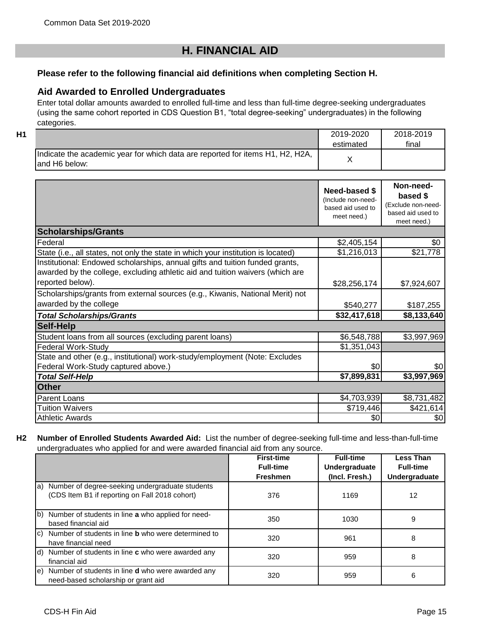### **H. FINANCIAL AID**

#### **Please refer to the following financial aid definitions when completing Section H.**

#### **Aid Awarded to Enrolled Undergraduates**

Enter total dollar amounts awarded to enrolled full-time and less than full-time degree-seeking undergraduates (using the same cohort reported in CDS Question B1, "total degree-seeking" undergraduates) in the following categories.

|  | . . | I  |
|--|-----|----|
|  | . . | ×. |
|  |     |    |

| H1 |                                                                                                 | 2019-2020<br>estimated | 2018-2019<br>final |
|----|-------------------------------------------------------------------------------------------------|------------------------|--------------------|
|    | Indicate the academic year for which data are reported for items H1, H2, H2A,<br>land H6 below: |                        |                    |

|                                                                                                                                                               | Need-based \$<br>(Include non-need-<br>based aid used to<br>meet need.) | Non-need-<br>based \$<br>(Exclude non-need-<br>based aid used to<br>meet need.) |
|---------------------------------------------------------------------------------------------------------------------------------------------------------------|-------------------------------------------------------------------------|---------------------------------------------------------------------------------|
| <b>Scholarships/Grants</b>                                                                                                                                    |                                                                         |                                                                                 |
| Federal                                                                                                                                                       | \$2,405,154                                                             | \$0                                                                             |
| State (i.e., all states, not only the state in which your institution is located)                                                                             | \$1,216,013                                                             | \$21,778                                                                        |
| Institutional: Endowed scholarships, annual gifts and tuition funded grants,<br>awarded by the college, excluding athletic aid and tuition waivers (which are |                                                                         |                                                                                 |
| reported below).                                                                                                                                              | \$28,256,174                                                            | \$7,924,607                                                                     |
| Scholarships/grants from external sources (e.g., Kiwanis, National Merit) not<br>awarded by the college                                                       | \$540,277                                                               | \$187,255                                                                       |
| <b>Total Scholarships/Grants</b>                                                                                                                              | \$32,417,618                                                            | \$8,133,640                                                                     |
| <b>Self-Help</b>                                                                                                                                              |                                                                         |                                                                                 |
| Student loans from all sources (excluding parent loans)                                                                                                       | \$6,548,788                                                             | \$3,997,969                                                                     |
| <b>Federal Work-Study</b>                                                                                                                                     | \$1,351,043                                                             |                                                                                 |
| State and other (e.g., institutional) work-study/employment (Note: Excludes<br>Federal Work-Study captured above.)                                            | 30                                                                      | \$0                                                                             |
| <b>Total Self-Help</b>                                                                                                                                        | \$7,899,831                                                             | \$3,997,969                                                                     |
| <b>Other</b>                                                                                                                                                  |                                                                         |                                                                                 |
| Parent Loans                                                                                                                                                  | \$4,703,939                                                             | \$8,731,482                                                                     |
| <b>Tuition Waivers</b>                                                                                                                                        | \$719,446                                                               | \$421,614                                                                       |
| <b>Athletic Awards</b>                                                                                                                                        | \$0                                                                     | \$0                                                                             |

#### **H2 Number of Enrolled Students Awarded Aid:** List the number of degree-seeking full-time and less-than-full-time undergraduates who applied for and were awarded financial aid from any source.

|                                                                                                      | <b>First-time</b><br><b>Full-time</b><br><b>Freshmen</b> | <b>Full-time</b><br>Undergraduate<br>(Incl. Fresh.) | <b>Less Than</b><br><b>Full-time</b><br>Undergraduate |
|------------------------------------------------------------------------------------------------------|----------------------------------------------------------|-----------------------------------------------------|-------------------------------------------------------|
| a) Number of degree-seeking undergraduate students<br>(CDS Item B1 if reporting on Fall 2018 cohort) | 376                                                      | 1169                                                | 12                                                    |
| b) Number of students in line a who applied for need-<br>based financial aid                         | 350                                                      | 1030                                                | 9                                                     |
| c) Number of students in line <b>b</b> who were determined to<br>have financial need                 | 320                                                      | 961                                                 | 8                                                     |
| $\vert d \vert$ Number of students in line <b>c</b> who were awarded any<br>financial aid            | 320                                                      | 959                                                 | 8                                                     |
| e) Number of students in line d who were awarded any<br>need-based scholarship or grant aid          | 320                                                      | 959                                                 | 6                                                     |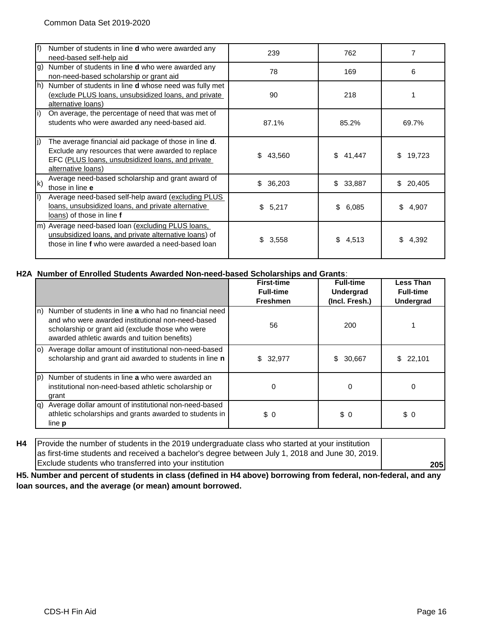| lf)          | Number of students in line d who were awarded any<br>need-based self-help aid                                                                                                         | 239          | 762          |              |
|--------------|---------------------------------------------------------------------------------------------------------------------------------------------------------------------------------------|--------------|--------------|--------------|
| g)           | Number of students in line <b>d</b> who were awarded any<br>non-need-based scholarship or grant aid                                                                                   | 78<br>169    |              | 6            |
| lh)          | Number of students in line <b>d</b> whose need was fully met<br>(exclude PLUS loans, unsubsidized loans, and private<br>alternative loans)                                            | 90           | 218          |              |
|              | On average, the percentage of need that was met of<br>students who were awarded any need-based aid.                                                                                   | 87.1%        | 85.2%        | 69.7%        |
|              | The average financial aid package of those in line d.<br>Exclude any resources that were awarded to replace<br>EFC (PLUS loans, unsubsidized loans, and private<br>alternative loans) | 43,560<br>\$ | \$41,447     | 19,723<br>S. |
| $\mathsf{k}$ | Average need-based scholarship and grant award of<br>those in line e                                                                                                                  | \$<br>36,203 | 33,887<br>\$ | \$<br>20,405 |
|              | Average need-based self-help award (excluding PLUS<br>loans, unsubsidized loans, and private alternative<br>loans) of those in line f                                                 | \$5,217      | \$<br>6.085  | 4,907<br>\$. |
| m)           | Average need-based loan (excluding PLUS loans,<br>unsubsidized loans, and private alternative loans) of<br>those in line f who were awarded a need-based loan                         | \$<br>3,558  | \$4,513      | 4,392        |

#### **H2A Number of Enrolled Students Awarded Non-need-based Scholarships and Grants**:

|     |                                                                                                                                                                                                                  | <b>First-time</b><br><b>Full-time</b><br><b>Freshmen</b> | <b>Full-time</b><br><b>Undergrad</b><br>(Incl. Fresh.) | <b>Less Than</b><br><b>Full-time</b><br><b>Undergrad</b> |
|-----|------------------------------------------------------------------------------------------------------------------------------------------------------------------------------------------------------------------|----------------------------------------------------------|--------------------------------------------------------|----------------------------------------------------------|
| ln) | Number of students in line a who had no financial need<br>and who were awarded institutional non-need-based<br>scholarship or grant aid (exclude those who were<br>awarded athletic awards and tuition benefits) | 56                                                       | 200                                                    |                                                          |
|     | o) Average dollar amount of institutional non-need-based<br>scholarship and grant aid awarded to students in line n                                                                                              | \$32,977                                                 | 30,667<br>\$                                           | \$22,101                                                 |
| (p  | Number of students in line a who were awarded an<br>institutional non-need-based athletic scholarship or<br>grant                                                                                                | 0                                                        | 0                                                      | 0                                                        |
| la) | Average dollar amount of institutional non-need-based<br>athletic scholarships and grants awarded to students in<br>line <b>p</b>                                                                                | \$0                                                      | \$0                                                    | \$0                                                      |

**H4 205** Provide the number of students in the 2019 undergraduate class who started at your institution as first-time students and received a bachelor's degree between July 1, 2018 and June 30, 2019. Exclude students who transferred into your institution

**H5. Number and percent of students in class (defined in H4 above) borrowing from federal, non-federal, and any loan sources, and the average (or mean) amount borrowed.**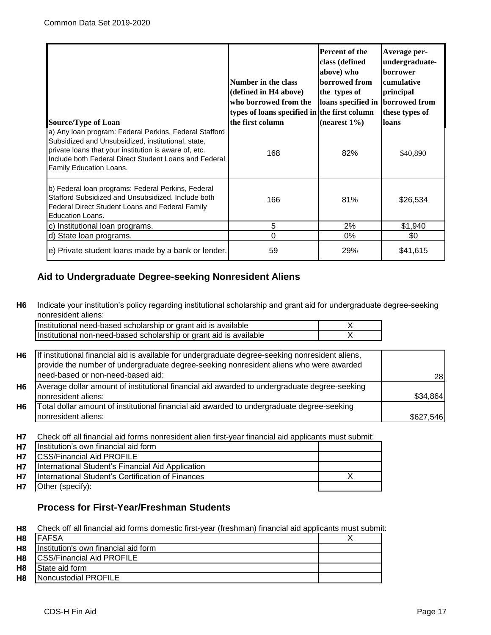| <b>Source/Type of Loan</b><br>a) Any Ioan program: Federal Perkins, Federal Stafford<br>Subsidized and Unsubsidized, institutional, state,<br>private loans that your institution is aware of, etc.<br>Include both Federal Direct Student Loans and Federal<br>Family Education Loans. | Number in the class<br>(defined in H4 above)<br>who borrowed from the<br>types of loans specified in the first column<br>the first column<br>168 | Percent of the<br>class (defined<br>above) who<br>borrowed from<br>the types of<br>loans specified in borrowed from<br>$(nearest 1\%)$<br>82% | Average per-<br>undergraduate-<br><b>borrower</b><br>cumulative<br>principal<br>these types of<br>loans<br>\$40,890 |
|-----------------------------------------------------------------------------------------------------------------------------------------------------------------------------------------------------------------------------------------------------------------------------------------|--------------------------------------------------------------------------------------------------------------------------------------------------|-----------------------------------------------------------------------------------------------------------------------------------------------|---------------------------------------------------------------------------------------------------------------------|
| b) Federal Ioan programs: Federal Perkins, Federal<br>Stafford Subsidized and Unsubsidized. Include both<br>Federal Direct Student Loans and Federal Family<br><b>Education Loans.</b>                                                                                                  | 166                                                                                                                                              | 81%                                                                                                                                           | \$26,534                                                                                                            |
| c) Institutional loan programs.                                                                                                                                                                                                                                                         | 5                                                                                                                                                | 2%                                                                                                                                            | \$1,940                                                                                                             |
| d) State loan programs.                                                                                                                                                                                                                                                                 | 0                                                                                                                                                | 0%                                                                                                                                            | \$0                                                                                                                 |
| e) Private student loans made by a bank or lender.                                                                                                                                                                                                                                      | 59                                                                                                                                               | 29%                                                                                                                                           | \$41,615                                                                                                            |

#### **Aid to Undergraduate Degree-seeking Nonresident Aliens**

**H6** Indicate your institution's policy regarding institutional scholarship and grant aid for undergraduate degree-seeking nonresident aliens:

| Institutional need-based scholarship or grant aid is available     |  |
|--------------------------------------------------------------------|--|
| Institutional non-need-based scholarship or grant aid is available |  |

| H6 | If institutional financial aid is available for undergraduate degree-seeking nonresident aliens,<br>provide the number of undergraduate degree-seeking nonresident aliens who were awarded |           |
|----|--------------------------------------------------------------------------------------------------------------------------------------------------------------------------------------------|-----------|
|    | need-based or non-need-based aid:                                                                                                                                                          | 28        |
| H6 | Average dollar amount of institutional financial aid awarded to undergraduate degree-seeking                                                                                               |           |
|    | Inonresident aliens:                                                                                                                                                                       | \$34,864  |
| Η6 | Total dollar amount of institutional financial aid awarded to undergraduate degree-seeking                                                                                                 |           |
|    | nonresident aliens:                                                                                                                                                                        | \$627,546 |

**H7** Check off all financial aid forms nonresident alien first-year financial aid applicants must submit:

| <b>H7</b> | Institution's own financial aid form              |  |
|-----------|---------------------------------------------------|--|
| <b>H7</b> | <b>CSS/Financial Aid PROFILE</b>                  |  |
| <b>H7</b> | International Student's Financial Aid Application |  |
| <b>H7</b> | International Student's Certification of Finances |  |
| <b>H7</b> | Other (specify):                                  |  |

#### **Process for First-Year/Freshman Students**

**H8** Check off all financial aid forms domestic first-year (freshman) financial aid applicants must submit:

| H8 <b>FAFSA</b>                                  |  |
|--------------------------------------------------|--|
| <b>H8</b>   Institution's own financial aid form |  |
| H8 CSS/Financial Aid PROFILE                     |  |
| State aid form                                   |  |
| Noncustodial PROFILE                             |  |
|                                                  |  |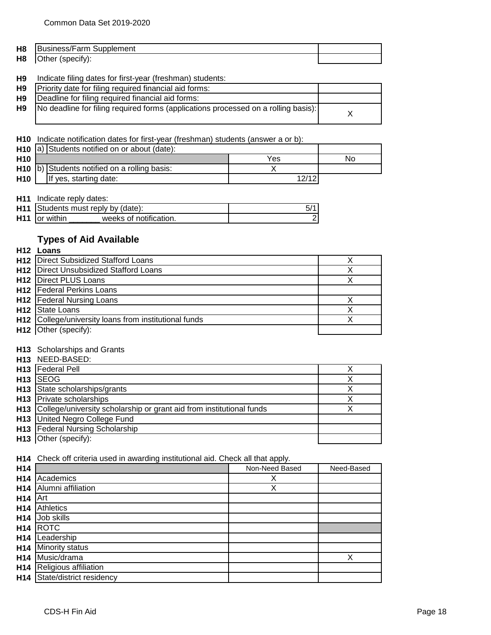| H <sub>8</sub> | $-$<br>$ \sim$ $\sim$<br>≺⊔r<br>biernent |  |
|----------------|------------------------------------------|--|
| H <sub>8</sub> | (pecity<br>∪tner                         |  |

#### **H9** Indicate filing dates for first-year (freshman) students:

| H9          | Priority date for filing required financial aid forms:                                  |  |
|-------------|-----------------------------------------------------------------------------------------|--|
| H9 <b>H</b> | Deadline for filing required financial aid forms:                                       |  |
|             | H9   No deadline for filing required forms (applications processed on a rolling basis): |  |

**H10** Indicate notification dates for first-year (freshman) students (answer a or b):

|                 | H <sub>10</sub> a) Students notified on or about (date):  |       |    |
|-----------------|-----------------------------------------------------------|-------|----|
| H <sub>10</sub> |                                                           | Yes   | No |
|                 | H <sub>10</sub> (b) Students notified on a rolling basis: |       |    |
| <b>H10</b>      | If yes, starting date:                                    | 12/12 |    |

**H11** Indicate reply dates:

|                           | <b>H11</b> Students must reply by (date): |  |
|---------------------------|-------------------------------------------|--|
| H <sub>11</sub> or within | weeks of notification.                    |  |

#### **Types of Aid Available**

| H <sub>12</sub> Loans |                                                       |  |
|-----------------------|-------------------------------------------------------|--|
|                       | H12 Direct Subsidized Stafford Loans                  |  |
|                       | <b>H12</b> Direct Unsubsidized Stafford Loans         |  |
|                       | H12 Direct PLUS Loans                                 |  |
|                       | <b>H12</b> Federal Perkins Loans                      |  |
|                       | H12 Federal Nursing Loans                             |  |
|                       | H <sub>12</sub> State Loans                           |  |
|                       | H12 College/university loans from institutional funds |  |
|                       | H12 Other (specify):                                  |  |

#### **H13** Scholarships and Grants **H13**  $N = 5$

|     | <b>H13 NEED-BASED:</b>                                                   |  |
|-----|--------------------------------------------------------------------------|--|
| H13 | <b>Federal Pell</b>                                                      |  |
|     | H <sub>13</sub> ISEOG                                                    |  |
|     | H <sub>13</sub> State scholarships/grants                                |  |
|     | H <sub>13</sub> Private scholarships                                     |  |
|     | H13 College/university scholarship or grant aid from institutional funds |  |
|     | H13 United Negro College Fund                                            |  |
|     | H13   Federal Nursing Scholarship                                        |  |
|     | H <sub>13</sub> Other (specify):                                         |  |

#### **H14** Check off criteria used in awarding institutional aid. Check all that apply.

| H14             |                          | Non-Need Based | Need-Based |
|-----------------|--------------------------|----------------|------------|
| H <sub>14</sub> | Academics                | Х              |            |
| H <sub>14</sub> | Alumni affiliation       | X              |            |
| H <sub>14</sub> | Art                      |                |            |
| H <sub>14</sub> | <b>Athletics</b>         |                |            |
| H <sub>14</sub> | Job skills               |                |            |
| H14             | <b>ROTC</b>              |                |            |
| H <sub>14</sub> | Leadership               |                |            |
| H14             | Minority status          |                |            |
| H <sub>14</sub> | Music/drama              |                | Х          |
| H <sub>14</sub> | Religious affiliation    |                |            |
| H14             | State/district residency |                |            |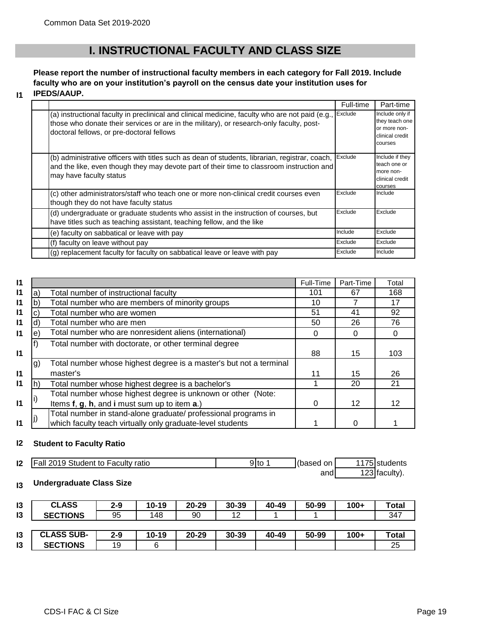**I1**

### **I. INSTRUCTIONAL FACULTY AND CLASS SIZE**

#### **Please report the number of instructional faculty members in each category for Fall 2019. Include faculty who are on your institution's payroll on the census date your institution uses for IPEDS/AAUP.**

|                                                                                                                                                                                                                                          | Full-time | Part-time                                                                       |
|------------------------------------------------------------------------------------------------------------------------------------------------------------------------------------------------------------------------------------------|-----------|---------------------------------------------------------------------------------|
| (a) instructional faculty in preclinical and clinical medicine, faculty who are not paid (e.g.,<br>those who donate their services or are in the military), or research-only faculty, post-<br>doctoral fellows, or pre-doctoral fellows | Exclude   | Include only if<br>they teach one<br>or more non-<br>clinical credit<br>courses |
| (b) administrative officers with titles such as dean of students, librarian, registrar, coach,<br>and the like, even though they may devote part of their time to classroom instruction and<br>may have faculty status                   | Exclude   | Include if they<br>teach one or<br>more non-<br>clinical credit<br>courses      |
| (c) other administrators/staff who teach one or more non-clinical credit courses even<br>though they do not have faculty status                                                                                                          | Exclude   | Include                                                                         |
| (d) undergraduate or graduate students who assist in the instruction of courses, but<br>have titles such as teaching assistant, teaching fellow, and the like                                                                            | Exclude   | Exclude                                                                         |
| (e) faculty on sabbatical or leave with pay                                                                                                                                                                                              | Include   | Exclude                                                                         |
| (f) faculty on leave without pay                                                                                                                                                                                                         | Exclude   | Exclude                                                                         |
| (g) replacement faculty for faculty on sabbatical leave or leave with pay                                                                                                                                                                | Exclude   | Include                                                                         |
|                                                                                                                                                                                                                                          |           |                                                                                 |

| 11              |    |                                                                    | Full-Time | Part-Time       | Total |
|-----------------|----|--------------------------------------------------------------------|-----------|-----------------|-------|
| $\mathsf{I}$    | a) | Total number of instructional faculty                              | 101       | 67              | 168   |
| 11              | b  | Total number who are members of minority groups                    | 10        |                 | 17    |
| 11              | C) | Total number who are women                                         | 51        | 41              | 92    |
| 11              | d) | Total number who are men                                           | 50        | 26              | 76    |
| $\mathbf{I}$    | e) | Total number who are nonresident aliens (international)            | 0         | 0               |       |
|                 |    | Total number with doctorate, or other terminal degree              |           |                 |       |
| 11              |    |                                                                    | 88        | 15              | 103   |
|                 | g) | Total number whose highest degree is a master's but not a terminal |           |                 |       |
| 11              |    | master's                                                           | 11        | 15              | 26    |
| $\overline{11}$ | h) | Total number whose highest degree is a bachelor's                  |           | 20              | 21    |
|                 |    | Total number whose highest degree is unknown or other (Note:       |           |                 |       |
| $\mathbf{I}$    |    | Items f, g, h, and i must sum up to item a.)                       | 0         | 12 <sup>2</sup> | 12    |
|                 |    | Total number in stand-alone graduate/ professional programs in     |           |                 |       |
| 11              |    | which faculty teach virtually only graduate-level students         |           | 0               |       |

#### **I2 Student to Faculty Ratio**

| 12 | Fall 2019 Student to Faculty ratio | 9lto | (based<br>on i | 1175 students   |
|----|------------------------------------|------|----------------|-----------------|
|    |                                    |      | and            | $123$ faculty). |

#### **I3 Undergraduate Class Size**

| 13 | <b>CLASS</b>      | $2 - 9$ | $10 - 19$ | $20 - 29$ | 30-39 | 40-49 | 50-99 | $100+$ | Total |
|----|-------------------|---------|-----------|-----------|-------|-------|-------|--------|-------|
| 13 | <b>SECTIONS</b>   | 95      | 148       | 90        | 12    |       |       |        | 347   |
|    |                   |         |           |           |       |       |       |        |       |
| 13 | <b>CLASS SUB-</b> | $2 - 9$ | 10-19     | $20 - 29$ | 30-39 | 40-49 | 50-99 | $100+$ | Total |
| 13 | <b>SECTIONS</b>   | 19      | 6         |           |       |       |       |        | 25    |